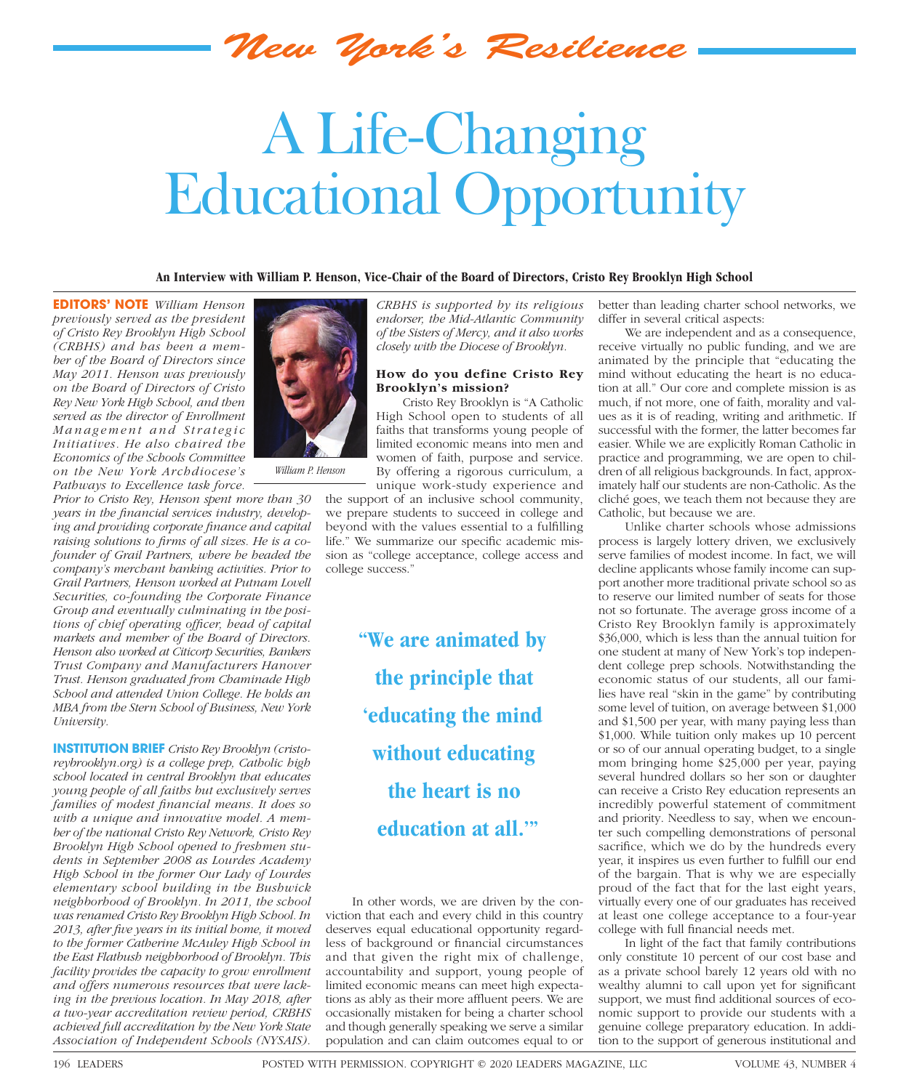*New York's Resilience*

## A Life-Changing Educational Opportunity

**An Interview with William P. Henson, Vice-Chair of the Board of Directors, Cristo Rey Brooklyn High School**

**EDITORS' NOTE** *William Henson previously served as the president of Cristo Rey Brooklyn High School (CRBHS) and has been a member of the Board of Directors since May 2011. Henson was previously on the Board of Directors of Cristo Rey New York High School, and then served as the director of Enrollment M a n a g e m e n t a n d S t r a t e g i c Initiatives. He also chaired the Economics of the Schools Committee on the New York Archdiocese's Pathways to Excellence task force.* 

*Prior to Cristo Rey, Henson spent more than 30*  years in the financial services industry, developing and providing corporate finance and capital raising solutions to firms of all sizes. He is a co*founder of Grail Partners, where he headed the company's merchant banking activities. Prior to Grail Partners, Henson worked at Putnam Lovell Securities, co-founding the Corporate Finance Group and eventually culminating in the positions of chief operating officer, head of capital markets and member of the Board of Directors. Henson also worked at Citicorp Securities, Bankers Trust Company and Manufacturers Hanover Trust. Henson graduated from Chaminade High School and attended Union College. He holds an MBA from the Stern School of Business, New York University.*

**INSTITUTION BRIEF** *Cristo Rey Brooklyn (cristoreybrooklyn.org) is a college prep, Catholic high school located in central Brooklyn that educates young people of all faiths but exclusively serves*  families of modest financial means. It does so *with a unique and innovative model. A member of the national Cristo Rey Network, Cristo Rey Brooklyn High School opened to freshmen students in September 2008 as Lourdes Academy High School in the former Our Lady of Lourdes elementary school building in the Bushwick neighborhood of Brooklyn. In 2011, the school was renamed Cristo Rey Brooklyn High School. In*  2013, after five years in its initial home, it moved *to the former Catherine McAuley High School in the East Flatbush neighborhood of Brooklyn. This facility provides the capacity to grow enrollment and offers numerous resources that were lacking in the previous location. In May 2018, after a two-year accreditation review period, CRBHS achieved full accreditation by the New York State Association of Independent Schools (NYSAIS).* 



*William P. Henson*

*CRBHS is supported by its religious endorser, the Mid-Atlantic Community of the Sisters of Mercy, and it also works closely with the Diocese of Brooklyn.*

## **How do you define Cristo Rey Brooklyn's mission?**

Cristo Rey Brooklyn is "A Catholic High School open to students of all faiths that transforms young people of limited economic means into men and women of faith, purpose and service. By offering a rigorous curriculum, a unique work-study experience and

the support of an inclusive school community, we prepare students to succeed in college and beyond with the values essential to a fulfilling life." We summarize our specific academic mission as "college acceptance, college access and college success."

> **"We are animated by the principle that 'educating the mind without educating the heart is no education at all.'"**

In other words, we are driven by the conviction that each and every child in this country deserves equal educational opportunity regardless of background or financial circumstances and that given the right mix of challenge, accountability and support, young people of limited economic means can meet high expectations as ably as their more affluent peers. We are occasionally mistaken for being a charter school and though generally speaking we serve a similar population and can claim outcomes equal to or

better than leading charter school networks, we differ in several critical aspects:

We are independent and as a consequence, receive virtually no public funding, and we are animated by the principle that "educating the mind without educating the heart is no education at all." Our core and complete mission is as much, if not more, one of faith, morality and values as it is of reading, writing and arithmetic. If successful with the former, the latter becomes far easier. While we are explicitly Roman Catholic in practice and programming, we are open to children of all religious backgrounds. In fact, approximately half our students are non-Catholic. As the cliché goes, we teach them not because they are Catholic, but because we are.

Unlike charter schools whose admissions process is largely lottery driven, we exclusively serve families of modest income. In fact, we will decline applicants whose family income can support another more traditional private school so as to reserve our limited number of seats for those not so fortunate. The average gross income of a Cristo Rey Brooklyn family is approximately \$36,000, which is less than the annual tuition for one student at many of New York's top independent college prep schools. Notwithstanding the economic status of our students, all our families have real "skin in the game" by contributing some level of tuition, on average between \$1,000 and \$1,500 per year, with many paying less than \$1,000. While tuition only makes up 10 percent or so of our annual operating budget, to a single mom bringing home \$25,000 per year, paying several hundred dollars so her son or daughter can receive a Cristo Rey education represents an incredibly powerful statement of commitment and priority. Needless to say, when we encounter such compelling demonstrations of personal sacrifice, which we do by the hundreds every year, it inspires us even further to fulfill our end of the bargain. That is why we are especially proud of the fact that for the last eight years, virtually every one of our graduates has received at least one college acceptance to a four-year college with full financial needs met.

In light of the fact that family contributions only constitute 10 percent of our cost base and as a private school barely 12 years old with no wealthy alumni to call upon yet for significant support, we must find additional sources of economic support to provide our students with a genuine college preparatory education. In addition to the support of generous institutional and